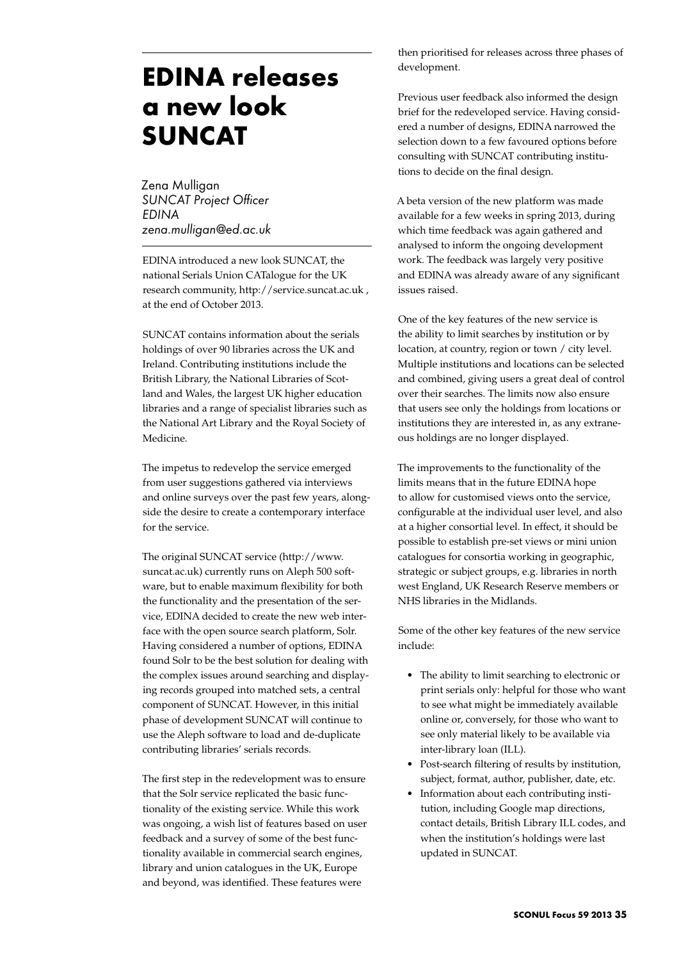## **EDINA releases a new look SUNCAT**

Zena Mulligan *SUNCAT Project Officer EDINA zena.mulligan@ed.ac.uk*

EDINA introduced a new look SUNCAT, the national Serials Union CATalogue for the UK research community, http://service.suncat.ac.uk, at the end of October 2013.

SUNCAT contains information about the serials holdings of over 90 libraries across the UK and Ireland. Contributing institutions include the British Library, the National Libraries of Scotland and Wales, the largest UK higher education libraries and a range of specialist libraries such as the National Art Library and the Royal Society of Medicine.

The impetus to redevelop the service emerged from user suggestions gathered via interviews and online surveys over the past few years, alongside the desire to create a contemporary interface for the service.

The original SUNCAT service (http://www. suncat.ac.uk) currently runs on Aleph 500 software, but to enable maximum flexibility for both the functionality and the presentation of the service, EDINA decided to create the new web interface with the open source search platform, Solr. Having considered a number of options, EDINA found Solr to be the best solution for dealing with the complex issues around searching and displaying records grouped into matched sets, a central component of SUNCAT. However, in this initial phase of development SUNCAT will continue to use the Aleph software to load and de-duplicate contributing libraries' serials records.

The first step in the redevelopment was to ensure that the Solr service replicated the basic functionality of the existing service. While this work was ongoing, a wish list of features based on user feedback and a survey of some of the best functionality available in commercial search engines, library and union catalogues in the UK, Europe and beyond, was identified. These features were

then prioritised for releases across three phases of development.

Previous user feedback also informed the design brief for the redeveloped service. Having considered a number of designs, EDINA narrowed the selection down to a few favoured options before consulting with SUNCAT contributing institutions to decide on the final design.

A beta version of the new platform was made available for a few weeks in spring 2013, during which time feedback was again gathered and analysed to inform the ongoing development work. The feedback was largely very positive and EDINA was already aware of any significant issues raised.

One of the key features of the new service is the ability to limit searches by institution or by location, at country, region or town / city level. Multiple institutions and locations can be selected and combined, giving users a great deal of control over their searches. The limits now also ensure that users see only the holdings from locations or institutions they are interested in, as any extraneous holdings are no longer displayed.

The improvements to the functionality of the limits means that in the future EDINA hope to allow for customised views onto the service, configurable at the individual user level, and also at a higher consortial level. In effect, it should be possible to establish pre-set views or mini union catalogues for consortia working in geographic, strategic or subject groups, e.g. libraries in north west England, UK Research Reserve members or NHS libraries in the Midlands.

Some of the other key features of the new service include:

- The ability to limit searching to electronic or print serials only: helpful for those who want to see what might be immediately available online or, conversely, for those who want to see only material likely to be available via inter-library loan (ILL).
- Post-search filtering of results by institution, subject, format, author, publisher, date, etc.
- Information about each contributing institution, including Google map directions, contact details, British Library ILL codes, and when the institution's holdings were last updated in SUNCAT.